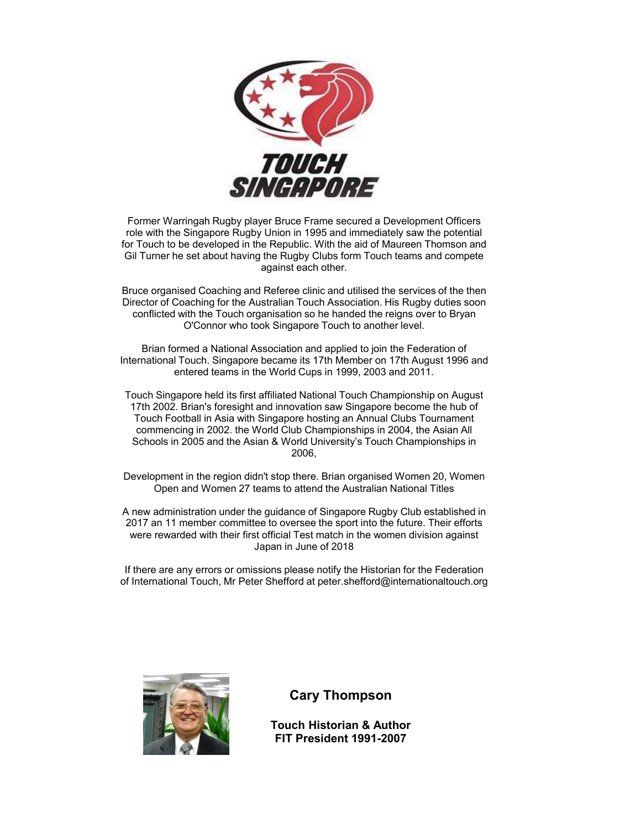

Former Warringah Rugby player Bruce Frame secured a Development Officers role with the Singapore Rugby Union in 1995 and immediately saw the potential for Touch to be developed in the Republic. With the aid of Maureen Thomson and Gil Turner he set about having the Rugby Clubs form Touch teams and compete against each other.

Bruce organised Coaching and Referee clinic and utilised the services of the then Director of Coaching for the Australian Touch Association. His Rugby duties soon conflicted with the Touch organisation so he handed the reigns over to Bryan O'Connor who took Singapore Touch to another level.

Brian formed a National Association and applied to join the Federation of International Touch. Singapore became its 17th Member on 17th August 1996 and entered teams in the World Cups in 1999, 2003 and 2011.

Touch Singapore held its first affiliated National Touch Championship on August 17th 2002. Brian's foresight and innovation saw Singapore become the hub of Touch Football in Asia with Singapore hosting an Annual Clubs Tournament commencing in 2002. the World Club Championships in 2004, the Asian All Schools in 2005 and the Asian & World University's Touch Championships in 2006,

Development in the region didn't stop there. Brian organised Women 20, Women Open and Women 27 teams to attend the Australian National Titles

A new administration under the guidance of Singapore Rugby Club established in 2017 an 11 member committee to oversee the sport into the future. Their efforts were rewarded with their first official Test match in the women division against Japan in June of 2018

If there are any errors or omissions please notify the Historian for the Federation of International Touch, Mr Peter Shefford at peter.shefford@internationaltouch.org



## **Cary Thompson**

**Touch Historian & Author FIT President 1991-2007**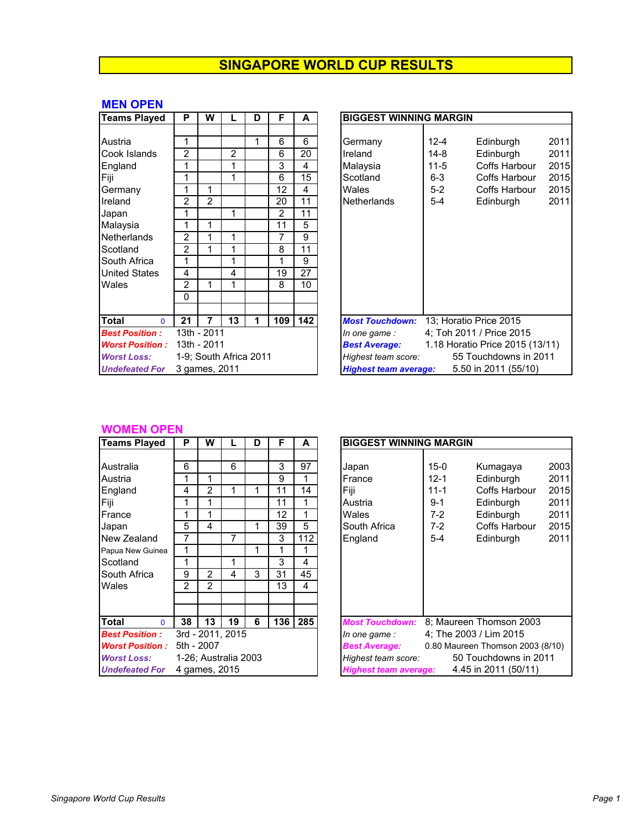#### **MEN OPEN**

| <b>Teams Played</b>                                                                                                                                               | P                                                                              | W                      |             | D | F                                                                             | A                                                                    | <b>BIGGEST WINNING MARGIN</b>                                                                                                                                                                                                      |  |  |  |  |
|-------------------------------------------------------------------------------------------------------------------------------------------------------------------|--------------------------------------------------------------------------------|------------------------|-------------|---|-------------------------------------------------------------------------------|----------------------------------------------------------------------|------------------------------------------------------------------------------------------------------------------------------------------------------------------------------------------------------------------------------------|--|--|--|--|
| Austria<br>Cook Islands<br>England<br>Fiji<br>Germany<br>Ireland<br>Japan<br>Malaysia<br>Netherlands<br>Scotland<br>South Africa<br><b>United States</b><br>Wales | 2<br>1<br>$\mathcal{P}$<br>2<br>$\overline{2}$<br>1<br>4<br>$\mathcal{P}$<br>0 | $\mathcal{P}$          | 2<br>1<br>4 |   | 6<br>6<br>3<br>6<br>12<br>20<br>$\mathcal{P}$<br>11<br>7<br>8<br>1<br>19<br>8 | 6<br>20<br>4<br>15<br>4<br>11<br>11<br>5<br>9<br>11<br>9<br>27<br>10 | $12 - 4$<br>Edinburgh<br>Germany<br>Ireland<br>$14-8$<br>Edinburgh<br>$11 - 5$<br>Coffs Harbour<br>Malaysia<br>Scotland<br>$6 - 3$<br>Coffs Harbour<br>$5-2$<br>Wales<br>Coffs Harbour<br>$5-4$<br><b>Netherlands</b><br>Edinburgh |  |  |  |  |
| <b>Total</b><br>$\Omega$                                                                                                                                          | 21                                                                             | 7                      | 13          | 1 | 109                                                                           | 142                                                                  | 13; Horatio Price 2015<br><b>Most Touchdown:</b>                                                                                                                                                                                   |  |  |  |  |
| <b>Best Position:</b>                                                                                                                                             |                                                                                | 13th - 2011            |             |   |                                                                               |                                                                      | 4; Toh 2011 / Price 2015<br>In one game:                                                                                                                                                                                           |  |  |  |  |
| <b>Worst Position:</b>                                                                                                                                            |                                                                                | 13th - 2011            |             |   |                                                                               |                                                                      | 1.18 Horatio Price 2015 (1)<br><b>Best Average:</b>                                                                                                                                                                                |  |  |  |  |
| <b>Worst Loss:</b>                                                                                                                                                |                                                                                | 1-9; South Africa 2011 |             |   |                                                                               |                                                                      | 55 Touchdowns in 2<br>Highest team score:                                                                                                                                                                                          |  |  |  |  |
| <b>Undefeated For</b>                                                                                                                                             |                                                                                | 3 games, 2011          |             |   |                                                                               |                                                                      | 5.50 in 2011 (55/10)<br><b>Highest team average:</b>                                                                                                                                                                               |  |  |  |  |

| <b>Teams Played</b>    | P              | w             |                        | D | F              | A   | <b>BIGGEST WINNING MARGIN</b>                           |
|------------------------|----------------|---------------|------------------------|---|----------------|-----|---------------------------------------------------------|
|                        |                |               |                        |   |                |     |                                                         |
| Austria                | 1              |               |                        | 1 | 6              | 6   | 2011<br>$12 - 4$<br>Edinburgh<br>Germany                |
| Cook Islands           | $\overline{2}$ |               | 2                      |   | 6              | 20  | 2011<br>$14 - 8$<br>Ireland<br>Edinburgh                |
| England                | 1              |               | 1                      |   | 3              | 4   | 2015<br>Malaysia<br>$11 - 5$<br>Coffs Harbour           |
| Fiji                   | 1              |               | 1                      |   | 6              | 15  | Scotland<br>2015<br>$6 - 3$<br>Coffs Harbour            |
| Germany                | 1              | 1             |                        |   | 12             | 4   | 2015<br>$5-2$<br>Wales<br>Coffs Harbour                 |
| Ireland                | 2              | $\mathcal{P}$ |                        |   | 20             | 11  | 2011<br><b>Netherlands</b><br>$5-4$<br>Edinburgh        |
| Japan                  | 1              |               | 1                      |   | $\overline{2}$ | 11  |                                                         |
| Malaysia               | 1              | 1             |                        |   | 11             | 5   |                                                         |
| Netherlands            | 2              | 1             | 1                      |   | 7              | 9   |                                                         |
| Scotland               | 2              | 1             | 1                      |   | 8              | 11  |                                                         |
| South Africa           | 1              |               | 1                      |   |                | 9   |                                                         |
| <b>United States</b>   | 4              |               | 4                      |   | 19             | 27  |                                                         |
| Wales                  | 2              | 1             | 1                      |   | 8              | 10  |                                                         |
|                        | 0              |               |                        |   |                |     |                                                         |
|                        |                |               |                        |   |                |     |                                                         |
| Total<br>$\Omega$      | 21             | 7             | 13                     | 1 | 109            | 142 | 13; Horatio Price 2015<br><b>Most Touchdown:</b>        |
| <b>Best Position:</b>  |                | 13th - 2011   |                        |   |                |     | 4; Toh 2011 / Price 2015<br>In one game:                |
| <b>Worst Position:</b> |                | 13th - 2011   |                        |   |                |     | 1.18 Horatio Price 2015 (13/11)<br><b>Best Average:</b> |
| <b>Worst Loss:</b>     |                |               | 1-9; South Africa 2011 |   |                |     | 55 Touchdowns in 2011<br>Highest team score:            |
| <b>Undefeated For</b>  |                | 3 games, 2011 |                        |   |                |     | 5.50 in 2011 (55/10)<br><b>Highest team average:</b>    |

#### **WOMEN OPEN**

| <b>Teams Played</b>    | P              | w              |                      | D | F   | A   | <b>BIGGEST WINNING MARGIN</b>                        |
|------------------------|----------------|----------------|----------------------|---|-----|-----|------------------------------------------------------|
|                        |                |                |                      |   |     |     |                                                      |
| Australia              | 6              |                | 6                    |   | 3   | 97  | $15 - 0$<br>Japan<br>Kumagaya                        |
| Austria                | 1              | 1              |                      |   | 9   | 1   | France<br>$12 - 1$<br>Edinburgh                      |
| England                | 4              | 2              | 1                    |   | 11  | 14  | Fiji<br>Coffs Harbour<br>$11 - 1$                    |
| Fiji                   | 1              | 1              |                      |   | 11  | 1   | $9 - 1$<br>Edinburgh<br>Austria                      |
| France                 |                | 1              |                      |   | 12  | 1   | Wales<br>$7-2$<br>Edinburgh                          |
| Japan                  | 5              | 4              |                      | 1 | 39  | 5   | South Africa<br>$7-2$<br>Coffs Harbour               |
| New Zealand            | 7              |                | $\overline{7}$       |   | 3   | 112 | England<br>$5 - 4$<br>Edinburgh                      |
| Papua New Guinea       | 1              |                |                      | 1 |     | 1   |                                                      |
| Scotland               | 1              |                | 1                    |   | 3   | 4   |                                                      |
| <b>South Africa</b>    | 9              | $\mathfrak{p}$ | 4                    | 3 | 31  | 45  |                                                      |
| Wales                  | $\mathfrak{p}$ | 2              |                      |   | 13  | 4   |                                                      |
|                        |                |                |                      |   |     |     |                                                      |
|                        |                |                |                      |   |     |     |                                                      |
| Total<br>$\Omega$      | 38             | 13             | 19                   | 6 | 136 | 285 | 8; Maureen Thomson 2003<br><b>Most Touchdown:</b>    |
| <b>Best Position:</b>  |                |                | 3rd - 2011, 2015     |   |     |     | 4; The 2003 / Lim 2015<br>In one game :              |
| <b>Worst Position:</b> |                | 5th - 2007     |                      |   |     |     | <b>Best Average:</b><br>0.80 Maureen Thomson 2003    |
| <b>Worst Loss:</b>     |                |                | 1-26; Australia 2003 |   |     |     | Highest team score:<br>50 Touchdowns in 20           |
| <b>Undefeated For</b>  |                | 4 games, 2015  |                      |   |     |     | 4.45 in 2011 (50/11)<br><b>Highest team average:</b> |

| Teams Played           | P             | W             |                      | D | F   | A   | <b>BIGGEST WINNING MARGIN</b> |                                       |
|------------------------|---------------|---------------|----------------------|---|-----|-----|-------------------------------|---------------------------------------|
|                        |               |               |                      |   |     |     |                               |                                       |
| Australia              | 6             |               | 6                    |   | 3   | 97  | Japan                         | 2003<br>$15 - 0$<br>Kumagaya          |
| Austria                |               | 1             |                      |   | 9   | 1   | France                        | 2011<br>$12 - 1$<br>Edinburgh         |
| England                | 4             | 2             |                      |   | 11  | 14  | Fiji                          | 2015<br>$11 - 1$<br>Coffs Harbour     |
| Fiji                   | 1             | 1             |                      |   | 11  |     | Austria                       | 2011<br>$9 - 1$<br>Edinburgh          |
| France                 |               | 1             |                      |   | 12  | 1   | Wales                         | 2011<br>$7-2$<br>Edinburgh            |
| Japan                  | 5             | 4             |                      | 1 | 39  | 5   | South Africa                  | 2015<br><b>Coffs Harbour</b><br>$7-2$ |
| New Zealand            |               |               | 7                    |   | 3   | 112 | England                       | $5 - 4$<br>2011<br>Edinburgh          |
| Papua New Guinea       |               |               |                      | 1 |     |     |                               |                                       |
| Scotland               | 1             |               | 1                    |   | 3   | 4   |                               |                                       |
| South Africa           | 9             | 2             | 4                    | 3 | 31  | 45  |                               |                                       |
| Wales                  | $\mathcal{P}$ | 2             |                      |   | 13  | 4   |                               |                                       |
|                        |               |               |                      |   |     |     |                               |                                       |
|                        |               |               |                      |   |     |     |                               |                                       |
| Total<br>$\mathbf{0}$  | 38            | 13            | 19                   | 6 | 136 | 285 | <b>Most Touchdown:</b>        | 8; Maureen Thomson 2003               |
| <b>Best Position :</b> |               |               | 3rd - 2011. 2015     |   |     |     | In one game:                  | 4; The 2003 / Lim 2015                |
| <b>Worst Position:</b> | 5th - 2007    |               |                      |   |     |     | <b>Best Average:</b>          | 0.80 Maureen Thomson 2003 (8/10)      |
| <b>Worst Loss:</b>     |               |               | 1-26: Australia 2003 |   |     |     | Highest team score:           | 50 Touchdowns in 2011                 |
| <b>Undefeated For</b>  |               | 4 games, 2015 |                      |   |     |     | <b>Highest team average:</b>  | 4.45 in 2011 (50/11)                  |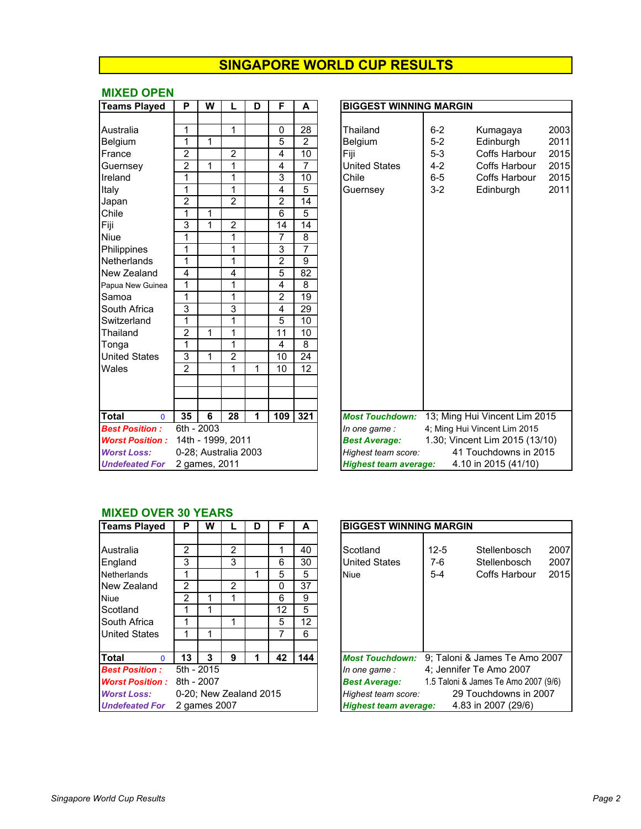#### **MIXED OPEN**

| <b>Teams Played</b>          | P              | W             |                      | D | F              | A               | <b>BIGGEST WINNING MARGIN</b>                                      |
|------------------------------|----------------|---------------|----------------------|---|----------------|-----------------|--------------------------------------------------------------------|
|                              |                |               |                      |   |                |                 |                                                                    |
| Australia                    | 1              |               | 1                    |   | 0              | 28              | Thailand<br>$6 - 2$<br>Kumagaya<br>$\overline{c}$                  |
| Belgium                      | 1              | 1             |                      |   | 5              | $\overline{2}$  | $\overline{a}$<br>$5-2$<br>Belgium<br>Edinburgh                    |
| France                       | $\overline{2}$ |               | $\overline{2}$       |   | 4              | $\overline{10}$ | Fiji<br>$5-3$<br>$\overline{a}$<br>Coffs Harbour                   |
| Guernsey                     | $\overline{2}$ | 1             | 1                    |   | 4              | 7               | <b>United States</b><br>$4 - 2$<br>$\overline{2}$<br>Coffs Harbour |
| Ireland                      | 1              |               | 1                    |   | 3              | $\overline{10}$ | Chile<br>$6-5$<br><b>Coffs Harbour</b><br>$\overline{2}$           |
| Italy                        | 1              |               | 1                    |   | 4              | 5               | $3 - 2$<br>Edinburgh<br>$\overline{2}$<br>Guernsey                 |
| Japan                        | $\overline{2}$ |               | $\overline{2}$       |   | $\overline{c}$ | 14              |                                                                    |
| Chile                        | 1              | 1             |                      |   | $\overline{6}$ | 5               |                                                                    |
| Fiji                         | $\overline{3}$ | 1             | $\overline{c}$       |   | 14             | 14              |                                                                    |
| <b>Niue</b>                  | 1              |               | 1                    |   | $\overline{7}$ | 8               |                                                                    |
| Philippines                  | 1              |               | 1                    |   | 3              | 7               |                                                                    |
| Netherlands                  | 1              |               | 1                    |   | $\overline{2}$ | 9               |                                                                    |
| New Zealand                  | 4              |               | 4                    |   | 5              | 82              |                                                                    |
| Papua New Guinea             | $\overline{1}$ |               | 1                    |   | 4              | 8               |                                                                    |
| Samoa                        | 1              |               | 1                    |   | $\overline{2}$ | 19              |                                                                    |
| South Africa                 | 3              |               | 3                    |   | 4              | 29              |                                                                    |
| Switzerland                  | 1              |               | 1                    |   | 5              | 10              |                                                                    |
| Thailand                     | $\overline{2}$ | 1             | 1                    |   | 11             | 10              |                                                                    |
| Tonga                        | 1              |               | 1                    |   | 4              | 8               |                                                                    |
| <b>United States</b>         | 3              | 1             | 2                    |   | 10             | 24              |                                                                    |
| Wales                        | $\overline{2}$ |               | 1                    | 1 | 10             | 12              |                                                                    |
|                              |                |               |                      |   |                |                 |                                                                    |
|                              |                |               |                      |   |                |                 |                                                                    |
|                              |                |               |                      |   |                |                 |                                                                    |
| <b>Total</b><br>$\mathbf{0}$ | 35             | 6             | 28                   | 1 | 109            | 321             | 13; Ming Hui Vincent Lim 2015<br><b>Most Touchdown:</b>            |
| <b>Best Position:</b>        |                | 6th - 2003    |                      |   |                |                 | 4; Ming Hui Vincent Lim 2015<br>In one game :                      |
| <b>Worst Position:</b>       |                |               | 14th - 1999, 2011    |   |                |                 | 1.30; Vincent Lim 2015 (13/10)<br><b>Best Average:</b>             |
| <b>Worst Loss:</b>           |                |               | 0-28; Australia 2003 |   |                |                 | 41 Touchdowns in 2015<br>Highest team score:                       |
| <b>Undefeated For</b>        |                | 2 games, 2011 |                      |   |                |                 | 4.10 in 2015 (41/10)<br><b>Highest team average:</b>               |

| <b>Teams Played</b>    | P              | W                    | L              | D | F               | A               | <b>BIGGEST WINNING MARGIN</b>                        |                                |  |  |
|------------------------|----------------|----------------------|----------------|---|-----------------|-----------------|------------------------------------------------------|--------------------------------|--|--|
|                        |                |                      |                |   |                 |                 |                                                      |                                |  |  |
| Australia              | 1              |                      | $\mathbf{1}$   |   | $\mathbf 0$     | 28              | Thailand<br>$6 - 2$                                  | 2003<br>Kumagaya               |  |  |
| Belgium                | 1              | 1                    |                |   | 5               | $\overline{2}$  | $5-2$<br>Belgium                                     | 2011<br>Edinburgh              |  |  |
| France                 | $\overline{2}$ |                      | $\overline{2}$ |   | 4               | 10              | Fiji<br>$5-3$                                        | 2015<br><b>Coffs Harbour</b>   |  |  |
| Guernsey               | $\overline{2}$ | 1                    | 1              |   | 4               | 7               | <b>United States</b><br>$4 - 2$                      | Coffs Harbour<br>2015          |  |  |
| Ireland                | 1              |                      | 1              |   | 3               | 10              | Chile<br>$6-5$                                       | 2015<br><b>Coffs Harbour</b>   |  |  |
| Italy                  | 1              |                      | 1              |   | 4               | 5               | $3 - 2$<br>Guernsey                                  | 2011<br>Edinburgh              |  |  |
| Japan                  | $\overline{c}$ |                      | $\overline{2}$ |   | $\overline{c}$  | 14              |                                                      |                                |  |  |
| Chile                  | 1              | 1                    |                |   | 6               | $\overline{5}$  |                                                      |                                |  |  |
| Fiji                   | 3              | 1                    | $\overline{2}$ |   | 14              | $\overline{14}$ |                                                      |                                |  |  |
| Niue                   | 1              |                      | 1              |   | $\overline{7}$  | 8               |                                                      |                                |  |  |
| Philippines            | 1              |                      | 1              |   | 3               | 7               |                                                      |                                |  |  |
| Netherlands            | 1              |                      | 1              |   | $\overline{2}$  | 9               |                                                      |                                |  |  |
| New Zealand            | 4              |                      | 4              |   | 5               | 82              |                                                      |                                |  |  |
| Papua New Guinea       | $\mathbf{1}$   |                      | 1              |   | 4               | 8               |                                                      |                                |  |  |
| Samoa                  | $\mathbf{1}$   |                      | 1              |   | $\overline{2}$  | 19              |                                                      |                                |  |  |
| South Africa           | 3              |                      | 3              |   | 4               | 29              |                                                      |                                |  |  |
| Switzerland            | 1              |                      | 1              |   | $\overline{5}$  | 10              |                                                      |                                |  |  |
| Thailand               | $\overline{2}$ | 1                    | 1              |   | $\overline{11}$ | 10              |                                                      |                                |  |  |
| Tonga                  | 1              |                      | 1              |   | $\overline{4}$  | 8               |                                                      |                                |  |  |
| <b>United States</b>   | 3              | 1                    | $\overline{2}$ |   | 10              | $\overline{24}$ |                                                      |                                |  |  |
| Wales                  | $\overline{2}$ |                      | 1              | 1 | 10              | 12              |                                                      |                                |  |  |
|                        |                |                      |                |   |                 |                 |                                                      |                                |  |  |
|                        |                |                      |                |   |                 |                 |                                                      |                                |  |  |
|                        |                |                      |                |   |                 |                 |                                                      |                                |  |  |
| Total<br>$\Omega$      | 35             | 6                    | 28             | 1 | 109             | 321             | <b>Most Touchdown:</b>                               | 13; Ming Hui Vincent Lim 2015  |  |  |
| <b>Best Position:</b>  |                | 6th - 2003           |                |   |                 |                 | In one game:                                         | 4; Ming Hui Vincent Lim 2015   |  |  |
| <b>Worst Position:</b> |                | 14th - 1999, 2011    |                |   |                 |                 | <b>Best Average:</b>                                 | 1.30; Vincent Lim 2015 (13/10) |  |  |
| <b>Worst Loss:</b>     |                | 0-28; Australia 2003 |                |   |                 |                 | 41 Touchdowns in 2015<br>Highest team score:         |                                |  |  |
| <b>Undefeated For</b>  |                | 2 games, 2011        |                |   |                 |                 | 4.10 in 2015 (41/10)<br><b>Highest team average:</b> |                                |  |  |

#### **MIXED OVER 30 YEARS**

| <b>Teams Played</b>      | Р             | W                      |                | D | F  | A   | <b>BIGGEST WINNING MARGIN</b>                                 |  |  |  |  |
|--------------------------|---------------|------------------------|----------------|---|----|-----|---------------------------------------------------------------|--|--|--|--|
| Australia                | 2             |                        | 2              |   |    | 40  | $12 - 5$<br>Scotland<br>2<br>Stellenbosch                     |  |  |  |  |
| England                  | 3             |                        | 3              |   | 6  | 30  | $\overline{2}$<br><b>United States</b><br>7-6<br>Stellenbosch |  |  |  |  |
| <b>Netherlands</b>       |               |                        |                |   | 5  | 5   | $5 - 4$<br>$\overline{2}$<br>Coffs Harbour<br><b>Niue</b>     |  |  |  |  |
| New Zealand              | 2             |                        | $\overline{2}$ |   | 0  | 37  |                                                               |  |  |  |  |
| <b>Niue</b>              | $\mathcal{P}$ |                        |                |   | 6  | 9   |                                                               |  |  |  |  |
| Scotland                 |               |                        |                |   | 12 | 5   |                                                               |  |  |  |  |
| South Africa             |               |                        |                |   | 5  | 12  |                                                               |  |  |  |  |
| <b>United States</b>     |               |                        |                |   |    | 6   |                                                               |  |  |  |  |
|                          |               |                        |                |   |    |     |                                                               |  |  |  |  |
| <b>Total</b><br>$\Omega$ | 13            | 3                      | 9              |   | 42 | 144 | 9; Taloni & James Te Amo 200<br><b>Most Touchdown:</b>        |  |  |  |  |
| <b>Best Position:</b>    |               | 5th - 2015             |                |   |    |     | 4; Jennifer Te Amo 2007<br>In one game:                       |  |  |  |  |
| <b>Worst Position:</b>   |               | 8th - 2007             |                |   |    |     | 1.5 Taloni & James Te Amo 2007 (9/<br><b>Best Average:</b>    |  |  |  |  |
| <b>Worst Loss:</b>       |               | 0-20; New Zealand 2015 |                |   |    |     | 29 Touchdowns in 2007<br>Highest team score:                  |  |  |  |  |
| <b>Undefeated For</b>    |               | 2 games 2007           |                |   |    |     | 4.83 in 2007 (29/6)<br><b>Highest team average:</b>           |  |  |  |  |

| <b>Teams Played</b>    | Р  | W                      |               | D | F  | A   | <b>BIGGEST WINNING MARGIN</b>                                |
|------------------------|----|------------------------|---------------|---|----|-----|--------------------------------------------------------------|
|                        |    |                        |               |   |    |     |                                                              |
| Australia              | 2  |                        | 2             |   |    | 40  | 2007<br>Scotland<br>$12 - 5$<br>Stellenbosch                 |
| England                | 3  |                        | 3             |   | 6  | 30  | <b>United States</b><br>2007<br>$7-6$<br>Stellenbosch        |
| <b>Netherlands</b>     |    |                        |               |   | 5  | 5   | 2015<br>Coffs Harbour<br>$5 - 4$<br><b>Niue</b>              |
| New Zealand            | 2  |                        | $\mathcal{P}$ |   | 0  | 37  |                                                              |
| Niue                   | 2  |                        |               |   | 6  | 9   |                                                              |
| Scotland               |    |                        |               |   | 12 | 5   |                                                              |
| South Africa           |    |                        |               |   | 5  | 12  |                                                              |
| <b>United States</b>   |    |                        |               |   |    | 6   |                                                              |
|                        |    |                        |               |   |    |     |                                                              |
| Total<br>$\Omega$      | 13 | 3                      | 9             |   | 42 | 144 | 9; Taloni & James Te Amo 2007<br><b>Most Touchdown:</b>      |
| <b>Best Position :</b> |    | 5th - 2015             |               |   |    |     | 4; Jennifer Te Amo 2007<br>In one game:                      |
| <b>Worst Position:</b> |    | 8th - 2007             |               |   |    |     | 1.5 Taloni & James Te Amo 2007 (9/6)<br><b>Best Average:</b> |
| <b>Worst Loss:</b>     |    | 0-20: New Zealand 2015 |               |   |    |     | 29 Touchdowns in 2007<br>Highest team score:                 |
| <b>Undefeated For</b>  |    | 2 games 2007           |               |   |    |     | 4.83 in 2007 (29/6)<br><b>Highest team average:</b>          |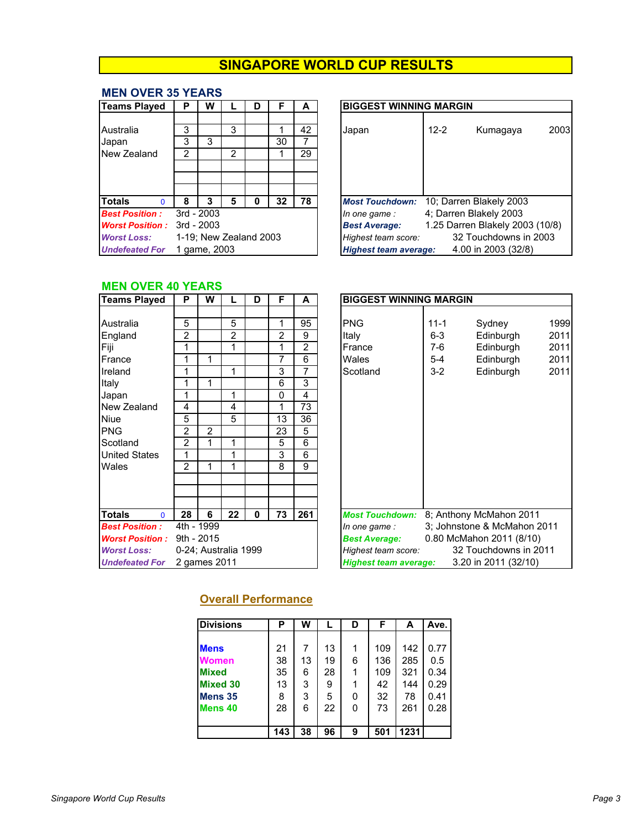#### **MEN OVER 35 YEARS**

| <b>Teams Played</b>    | P             | w                      |   | D | F  | A  | <b>BIGGEST WINNING MARGIN</b>                       |
|------------------------|---------------|------------------------|---|---|----|----|-----------------------------------------------------|
| Australia              | 3             |                        | 3 |   |    | 42 | $12 - 2$<br>Kumagaya<br>Japan                       |
| Japan                  | 3             | 3                      |   |   | 30 |    |                                                     |
| New Zealand            | $\mathcal{P}$ |                        | 2 |   |    | 29 |                                                     |
|                        |               |                        |   |   |    |    |                                                     |
|                        |               |                        |   |   |    |    |                                                     |
| <b>Totals</b><br>n     | 8             | 3                      | 5 |   | 32 | 78 | 10; Darren Blakely 2003<br><b>Most Touchdown:</b>   |
| <b>Best Position:</b>  |               | $3rd - 2003$           |   |   |    |    | 4; Darren Blakely 2003<br>In one game :             |
| <b>Worst Position:</b> |               | $3rd - 2003$           |   |   |    |    | 1.25 Darren Blakely 2003<br><b>Best Average:</b>    |
| <b>Worst Loss:</b>     |               | 1-19; New Zealand 2003 |   |   |    |    | 32 Touchdowns in<br>Highest team score:             |
| <b>Undefeated For</b>  |               | 1 game, 2003           |   |   |    |    | 4.00 in 2003 (32/8)<br><b>Highest team average:</b> |

| Teams Played                  | Р | W                      |               | D |    | А  | <b>BIGGEST WINNING MARGIN</b>                           |
|-------------------------------|---|------------------------|---------------|---|----|----|---------------------------------------------------------|
|                               |   |                        |               |   |    |    |                                                         |
| Australia                     | 3 |                        | 3             |   |    | 42 | 2003<br>$12 - 2$<br>Kumagaya<br>Japan                   |
| Japan                         | 3 | 3                      |               |   | 30 |    |                                                         |
| New Zealand                   | 2 |                        | $\mathcal{P}$ |   |    | 29 |                                                         |
|                               |   |                        |               |   |    |    |                                                         |
|                               |   |                        |               |   |    |    |                                                         |
|                               |   |                        |               |   |    |    |                                                         |
| <b>Totals</b><br><sup>0</sup> | 8 | 3                      | 5             | 0 | 32 | 78 | 10; Darren Blakely 2003<br><b>Most Touchdown:</b>       |
| <b>Best Position :</b>        |   | $3rd - 2003$           |               |   |    |    | 4; Darren Blakely 2003<br>In one game:                  |
| <b>Worst Position:</b>        |   | $3rd - 2003$           |               |   |    |    | 1.25 Darren Blakely 2003 (10/8)<br><b>Best Average:</b> |
| <b>Worst Loss:</b>            |   | 1-19; New Zealand 2003 |               |   |    |    | 32 Touchdowns in 2003<br>Highest team score:            |
| <b>Undefeated For</b>         |   | 1 game, 2003           |               |   |    |    | 4.00 in 2003 (32/8)<br><b>Highest team average:</b>     |

### **MEN OVER 40 YEARS**

| <b>Teams Played</b>                                                                                                         | P                                                                                          | W                                                       |                                                   | D            | F                                                                         | A                                                                                                          | <b>BIGGEST WINNING MARGIN</b>                                                                                                                                                                                                                               |
|-----------------------------------------------------------------------------------------------------------------------------|--------------------------------------------------------------------------------------------|---------------------------------------------------------|---------------------------------------------------|--------------|---------------------------------------------------------------------------|------------------------------------------------------------------------------------------------------------|-------------------------------------------------------------------------------------------------------------------------------------------------------------------------------------------------------------------------------------------------------------|
| Australia<br>England<br>Fiji<br>France<br>Ireland<br>Italy<br>Japan<br>New Zealand<br>Niue<br><b>PNG</b><br>Scotland        | 5<br>$\overline{2}$<br>1<br>1<br>1<br>1<br>1<br>4<br>5<br>$\overline{2}$<br>$\overline{2}$ | 1<br>1<br>2<br>1                                        | 5<br>$\overline{2}$<br>1<br>1<br>1<br>4<br>5<br>1 |              | 1<br>$\overline{2}$<br>1<br>7<br>3<br>6<br>$\Omega$<br>1<br>13<br>23<br>5 | 95<br>9<br>$\overline{2}$<br>6<br>$\overline{7}$<br>3<br>$\overline{4}$<br>$\overline{73}$<br>36<br>5<br>6 | $\mathbf{1}$<br><b>PNG</b><br>$11 - 1$<br>Sydney<br>$\overline{c}$<br>$6 - 3$<br>Italy<br>Edinburgh<br>$\overline{a}$<br>$7-6$<br>France<br>Edinburgh<br>$\overline{c}$<br>Wales<br>$5-4$<br>Edinburgh<br>$\overline{2}$<br>$3-2$<br>Scotland<br>Edinburgh  |
| <b>United States</b><br>Wales                                                                                               | 1<br>$\overline{2}$                                                                        | 1                                                       | 1<br>1                                            |              | 3<br>8                                                                    | 6<br>9                                                                                                     |                                                                                                                                                                                                                                                             |
| <b>Totals</b><br>$\Omega$<br><b>Best Position:</b><br><b>Worst Position:</b><br><b>Worst Loss:</b><br><b>Undefeated For</b> | 28<br>9th - 2015                                                                           | 6<br>4th - 1999<br>0-24; Australia 1999<br>2 games 2011 | 22                                                | $\mathbf{0}$ | 73                                                                        | 261                                                                                                        | 8; Anthony McMahon 2011<br><b>Most Touchdown:</b><br>3; Johnstone & McMahon 201<br>In one game:<br>0.80 McMahon 2011 (8/10)<br><b>Best Average:</b><br>32 Touchdowns in 2011<br>Highest team score:<br>3.20 in 2011 (32/10)<br><b>Highest team average:</b> |

| <b>Teams Played</b>           | P              | W                    |    | D           | F              | A              | <b>BIGGEST WINNING MARGIN</b> |                              |
|-------------------------------|----------------|----------------------|----|-------------|----------------|----------------|-------------------------------|------------------------------|
|                               |                |                      |    |             |                |                |                               |                              |
| Australia                     | 5              |                      | 5  |             | 1              | 95             | <b>PNG</b>                    | 1999<br>$11 - 1$<br>Sydney   |
| England                       | $\overline{2}$ |                      | 2  |             | $\overline{2}$ | 9              | Italy                         | 2011<br>$6-3$<br>Edinburgh   |
| Fiji                          | 1              |                      | 1  |             | 1              | 2              | France                        | 2011<br>Edinburgh<br>7-6     |
| France                        | 1              | 1                    |    |             | 7              | 6              | Wales                         | 2011<br>$5-4$<br>Edinburgh   |
| Ireland                       | 1              |                      | 1  |             | 3              | 7              | Scotland                      | $3 - 2$<br>2011<br>Edinburgh |
| Italy                         | 1              | 1                    |    |             | 6              | $\overline{3}$ |                               |                              |
| Japan                         | 1              |                      | 1  |             | $\Omega$       | 4              |                               |                              |
| New Zealand                   | 4              |                      | 4  |             | 1              | 73             |                               |                              |
| Niue                          | 5              |                      | 5  |             | 13             | 36             |                               |                              |
| <b>PNG</b>                    | 2              | 2                    |    |             | 23             | 5              |                               |                              |
| Scotland                      | $\overline{2}$ | 1                    | 1  |             | 5              | 6              |                               |                              |
| <b>United States</b>          | 1              |                      | 1  |             | 3              | 6              |                               |                              |
| Wales                         | $\mathfrak{p}$ | 1                    | 1  |             | 8              | 9              |                               |                              |
|                               |                |                      |    |             |                |                |                               |                              |
|                               |                |                      |    |             |                |                |                               |                              |
|                               |                |                      |    |             |                |                |                               |                              |
| <b>Totals</b><br>$\mathbf{0}$ | 28             | 6                    | 22 | $\mathbf 0$ | 73             | 261            | <b>Most Touchdown:</b>        | 8; Anthony McMahon 2011      |
| <b>Best Position :</b>        |                | 4th - 1999           |    |             |                |                | In one game:                  | 3; Johnstone & McMahon 2011  |
| <b>Worst Position :</b>       | $9th - 2015$   |                      |    |             |                |                | <b>Best Average:</b>          | 0.80 McMahon 2011 (8/10)     |
| <b>Worst Loss:</b>            |                | 0-24; Australia 1999 |    |             |                |                | Highest team score:           | 32 Touchdowns in 2011        |
| <b>Undefeated For</b>         |                | 2 games 2011         |    |             |                |                | <b>Highest team average:</b>  | 3.20 in 2011 (32/10)         |
|                               |                |                      |    |             |                |                |                               |                              |

## **Overall Performance**

| <b>Divisions</b>   | Р   | W  | L  | D        | F   | A    | Ave. |
|--------------------|-----|----|----|----------|-----|------|------|
|                    |     |    |    |          |     |      |      |
| <b>Mens</b>        | 21  | 7  | 13 |          | 109 | 142  | 0.77 |
| <b>Women</b>       | 38  | 13 | 19 | 6        | 136 | 285  | 0.5  |
| <b>Mixed</b>       | 35  | 6  | 28 |          | 109 | 321  | 0.34 |
| <b>Mixed 30</b>    | 13  | 3  | 9  |          | 42  | 144  | 0.29 |
| Mens 35            | 8   | 3  | 5  | 0        | 32  | 78   | 0.41 |
| Mens <sub>40</sub> | 28  | 6  | 22 | $\Omega$ | 73  | 261  | 0.28 |
|                    |     |    |    |          |     |      |      |
|                    | 143 | 38 | 96 | 9        | 501 | 1231 |      |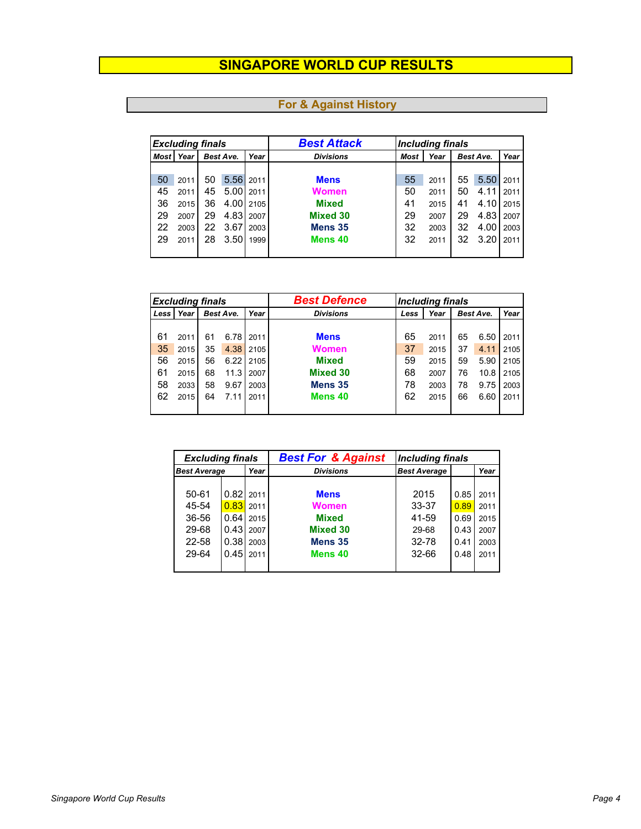| <b>Excluding finals</b> |      |                          |              |      | <b>Best Attack</b> | <b>Including finals</b> |                    |    |      |      |      |      |  |  |  |  |  |  |  |  |  |  |                  |      |      |  |           |  |
|-------------------------|------|--------------------------|--------------|------|--------------------|-------------------------|--------------------|----|------|------|------|------|--|--|--|--|--|--|--|--|--|--|------------------|------|------|--|-----------|--|
| <b>Most</b>             | Year | <b>Best Ave.</b><br>Year |              |      |                    |                         |                    |    |      |      |      |      |  |  |  |  |  |  |  |  |  |  | <b>Divisions</b> | Most | Year |  | Best Ave. |  |
|                         |      |                          |              |      |                    |                         |                    |    |      |      |      |      |  |  |  |  |  |  |  |  |  |  |                  |      |      |  |           |  |
| 50                      | 2011 | 50                       | 5.56         | 2011 | <b>Mens</b>        | 55                      | 2011               | 55 | 5.50 | 2011 |      |      |  |  |  |  |  |  |  |  |  |  |                  |      |      |  |           |  |
| 45                      | 2011 | 45                       | 5.00         | 2011 | <b>Women</b>       | 50                      | 2011               | 50 | 4.11 | 2011 |      |      |  |  |  |  |  |  |  |  |  |  |                  |      |      |  |           |  |
| 36                      | 2015 | 36                       | 4.00         | 2105 | <b>Mixed</b>       | 41                      | 2015               | 41 | 4.10 | 2015 |      |      |  |  |  |  |  |  |  |  |  |  |                  |      |      |  |           |  |
| 29                      | 2007 | 29                       | 4.83         | 2007 | <b>Mixed 30</b>    | 29                      | 2007               | 29 | 4.83 | 2007 |      |      |  |  |  |  |  |  |  |  |  |  |                  |      |      |  |           |  |
| 22                      | 2003 | 22                       | 3.67         | 2003 | Mens <sub>35</sub> | 32                      | 2003               | 32 | 4.00 | 2003 |      |      |  |  |  |  |  |  |  |  |  |  |                  |      |      |  |           |  |
| 29                      | 2011 | 28                       | 3.50<br>1999 |      |                    |                         | Mens <sub>40</sub> | 32 | 2011 | 32   | 3.20 | 2011 |  |  |  |  |  |  |  |  |  |  |                  |      |      |  |           |  |
|                         |      |                          |              |      |                    |                         |                    |    |      |      |      |      |  |  |  |  |  |  |  |  |  |  |                  |      |      |  |           |  |

| <b>Excluding finals</b> |      |                   |      |      | <b>Best Defence</b> | <b>Including finals</b> |      |    |      |      |  |  |  |  |  |  |  |  |  |  |                  |                           |  |  |      |
|-------------------------|------|-------------------|------|------|---------------------|-------------------------|------|----|------|------|--|--|--|--|--|--|--|--|--|--|------------------|---------------------------|--|--|------|
| Less                    | Year | Year<br>Best Ave. |      |      |                     |                         |      |    |      |      |  |  |  |  |  |  |  |  |  |  | <b>Divisions</b> | Year<br>Best Ave.<br>Less |  |  | Year |
|                         |      |                   |      |      |                     |                         |      |    |      |      |  |  |  |  |  |  |  |  |  |  |                  |                           |  |  |      |
| 61                      | 2011 | 61                | 6.78 | 2011 | <b>Mens</b>         | 65                      | 2011 | 65 | 6.50 | 2011 |  |  |  |  |  |  |  |  |  |  |                  |                           |  |  |      |
| 35                      | 2015 | 35                | 4.38 | 2105 | <b>Women</b>        | 37                      | 2015 | 37 | 4.11 | 2105 |  |  |  |  |  |  |  |  |  |  |                  |                           |  |  |      |
| 56                      | 2015 | 56                | 6.22 | 2105 | <b>Mixed</b>        | 59                      | 2015 | 59 | 5.90 | 2105 |  |  |  |  |  |  |  |  |  |  |                  |                           |  |  |      |
| 61                      | 2015 | 68                | 11.3 | 2007 | <b>Mixed 30</b>     | 68                      | 2007 | 76 | 10.8 | 2105 |  |  |  |  |  |  |  |  |  |  |                  |                           |  |  |      |
| 58                      | 2033 | 58                | 9.67 | 2003 | Mens <sub>35</sub>  | 78                      | 2003 | 78 | 9.75 | 2003 |  |  |  |  |  |  |  |  |  |  |                  |                           |  |  |      |
| 62                      | 2015 | 64                | 7.11 | 2011 | Mens <sub>40</sub>  | 62                      | 2015 | 66 | 6.60 | 2011 |  |  |  |  |  |  |  |  |  |  |                  |                           |  |  |      |
|                         |      |                   |      |      |                     |                         |      |    |      |      |  |  |  |  |  |  |  |  |  |  |                  |                           |  |  |      |

| <b>Excluding finals</b>     |      |             | <b>Best For &amp; Against</b> | <b>Including finals</b> |      |      |  |
|-----------------------------|------|-------------|-------------------------------|-------------------------|------|------|--|
| <b>Best Average</b><br>Year |      |             | <b>Divisions</b>              | <b>Best Average</b>     |      | Year |  |
|                             |      |             |                               |                         |      |      |  |
| 50-61                       |      | $0.82$ 2011 | <b>Mens</b>                   | 2015                    | 0.85 | 2011 |  |
| 45-54                       | 0.83 | 2011        | <b>Women</b>                  | 33-37                   | 0.89 | 2011 |  |
| 36-56                       | 0.64 | 2015        | <b>Mixed</b>                  | 41-59                   | 0.69 | 2015 |  |
| 29-68                       | 0.43 | 2007        | <b>Mixed 30</b>               | 29-68                   | 0.43 | 2007 |  |
| 22-58                       | 0.38 | 2003        | Mens 35                       | 32-78                   | 0.41 | 2003 |  |
| 29-64                       | 0.45 | 2011        | Mens 40                       | $32 - 66$               | 0.48 | 2011 |  |
|                             |      |             |                               |                         |      |      |  |